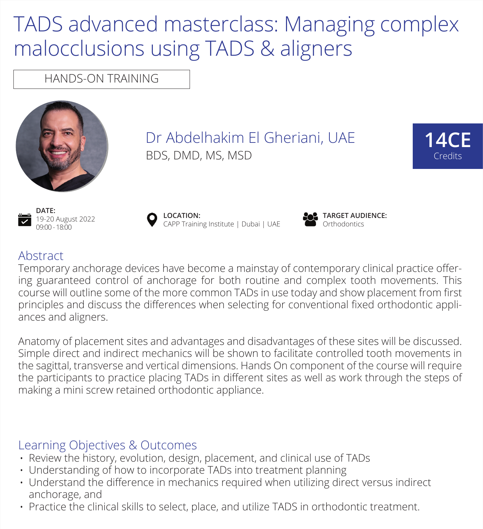# TADS advanced masterclass: Managing complex malocclusions using TADS & aligners

HANDS-ON TRAINING



Dr Abdelhakim El Gheriani, UAE BDS, DMD, MS, MSD



**DATE:** 19-20 August 2022 09:00 - 18:00





## Abstract

Temporary anchorage devices have become a mainstay of contemporary clinical practice offering guaranteed control of anchorage for both routine and complex tooth movements. This course will outline some of the more common TADs in use today and show placement from first principles and discuss the differences when selecting for conventional fixed orthodontic appliances and aligners.

Anatomy of placement sites and advantages and disadvantages of these sites will be discussed. Simple direct and indirect mechanics will be shown to facilitate controlled tooth movements in the sagittal, transverse and vertical dimensions. Hands On component of the course will require the participants to practice placing TADs in different sites as well as work through the steps of making a mini screw retained orthodontic appliance.

### Learning Objectives & Outcomes

- Review the history, evolution, design, placement, and clinical use of TADs
- Understanding of how to incorporate TADs into treatment planning
- Understand the difference in mechanics required when utilizing direct versus indirect anchorage, and
- Practice the clinical skills to select, place, and utilize TADS in orthodontic treatment.